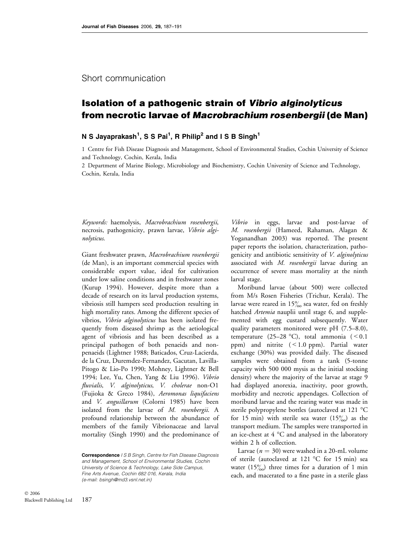### Short communication

# Isolation of a pathogenic strain of Vibrio alginolyticus from necrotic larvae of Macrobrachium rosenbergii (de Man)

## N S Jayaprakash<sup>1</sup>, S S Pai<sup>1</sup>, R Philip<sup>2</sup> and I S B Singh<sup>1</sup>

1 Centre for Fish Disease Diagnosis and Management, School of Environmental Studies, Cochin University of Science and Technology, Cochin, Kerala, India

2 Department of Marine Biology, Microbiology and Biochemistry, Cochin University of Science and Technology, Cochin, Kerala, India

Keywords: haemolysis, Macrobrachium rosenbergii, necrosis, pathogenicity, prawn larvae, Vibrio alginolyticus.

Giant freshwater prawn, Macrobrachium rosenbergii (de Man), is an important commercial species with considerable export value, ideal for cultivation under low saline conditions and in freshwater zones (Kurup 1994). However, despite more than a decade of research on its larval production systems, vibriosis still hampers seed production resulting in high mortality rates. Among the different species of vibrios, Vibrio alginolyticus has been isolated frequently from diseased shrimp as the aetiological agent of vibriosis and has been described as a principal pathogen of both penaeids and nonpenaeids (Lightner 1988; Baticados, Cruz-Lacierda, de la Cruz, Duremdez-Fernandez, Gacutan, Lavilla-Pitogo & Lio-Po 1990; Mohney, Lightner & Bell 1994; Lee, Yu, Chen, Yang & Liu 1996). Vibrio fluvialis, V. alginolyticus, V. cholerae non-O1 (Fujioka & Greco 1984), Aeromonas liquifaciens and V. anguillarum (Colorni 1985) have been isolated from the larvae of M. rosenbergii. A profound relationship between the abundance of members of the family Vibrionaceae and larval mortality (Singh 1990) and the predominance of

Correspondence I S B Singh, Centre for Fish Disease Diagnosis and Management, School of Environmental Studies, Cochin University of Science & Technology, Lake Side Campus, Fine Arts Avenue, Cochin 682 016, Kerala, India (e-mail: bsingh@md3.vsnl.net.in)

Vibrio in eggs, larvae and post-larvae of M. rosenbergii (Hameed, Rahaman, Alagan & Yoganandhan 2003) was reported. The present paper reports the isolation, characterization, pathogenicity and antibiotic sensitivity of V. alginolyticus associated with M. rosenbergii larvae during an occurrence of severe mass mortality at the ninth larval stage.

Moribund larvae (about 500) were collected from M/s Rosen Fisheries (Trichur, Kerala). The larvae were reared in  $15\%$  sea water, fed on freshly hatched Artemia nauplii until stage 6, and supplemented with egg custard subsequently. Water quality parameters monitored were pH (7.5–8.0), temperature (25–28 °C), total ammonia (<0.1 ppm) and nitrite (<1.0 ppm). Partial water exchange (30%) was provided daily. The diseased samples were obtained from a tank (5-tonne capacity with 500 000 mysis as the initial stocking density) where the majority of the larvae at stage 9 had displayed anorexia, inactivity, poor growth, morbidity and necrotic appendages. Collection of moribund larvae and the rearing water was made in sterile polypropylene bottles (autoclaved at 121 °C for 15 min) with sterile sea water  $(15\%)$  as the transport medium. The samples were transported in an ice-chest at  $4^{\circ}$ C and analysed in the laboratory within 2 h of collection.

Larvae ( $n = 30$ ) were washed in a 20-mL volume of sterile (autoclaved at 121  $^{\circ}$ C for 15 min) sea water  $(15\%)$  three times for a duration of 1 min each, and macerated to a fine paste in a sterile glass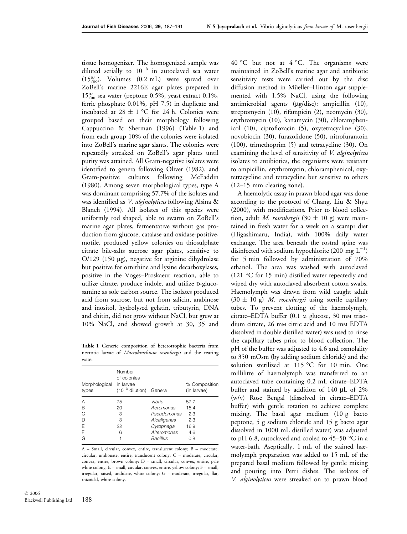tissue homogenizer. The homogenized sample was diluted serially to  $10^{-6}$  in autoclaved sea water  $(15\%)$ . Volumes  $(0.2 \text{ mL})$  were spread over ZoBell's marine 2216E agar plates prepared in  $15\%$  sea water (peptone 0.5%, yeast extract 0.1%, ferric phosphate 0.01%, pH 7.5) in duplicate and incubated at 28  $\pm$  1 °C for 24 h. Colonies were grouped based on their morphology following Cappuccino & Sherman (1996) (Table 1) and from each group 10% of the colonies were isolated into ZoBell's marine agar slants. The colonies were repeatedly streaked on ZoBell's agar plates until purity was attained. All Gram-negative isolates were identified to genera following Oliver (1982), and Gram-positive cultures following McFaddin (1980). Among seven morphological types, type A was dominant comprising 57.7% of the isolates and was identified as V. alginolyticus following Alsina & Blanch (1994). All isolates of this species were uniformly rod shaped, able to swarm on ZoBell's marine agar plates, fermentative without gas production from glucose, catalase and oxidase-positive, motile, produced yellow colonies on thiosulphate citrate bile-salts sucrose agar plates, sensitive to  $O/129$  (150 µg), negative for arginine dihydrolase but positive for ornithine and lysine decarboxylases, positive in the Voges–Proskaeur reaction, able to utilize citrate, produce indole, and utilize D-glucosamine as sole carbon source. The isolates produced acid from sucrose, but not from salicin, arabinose and inositol, hydrolysed gelatin, tributyrin, DNA and chitin, did not grow without NaCl, but grew at 10% NaCl, and showed growth at 30, 35 and

Table 1 Generic composition of heterotrophic bacteria from necrotic larvae of Macrobrachium rosenbergii and the rearing water

| Morphological<br>types     | Number<br>of colonies<br>in larvae<br>$(10^{-3}$ dilution) Genera |                                                                               | % Composition<br>(in larvae)              |
|----------------------------|-------------------------------------------------------------------|-------------------------------------------------------------------------------|-------------------------------------------|
| А<br>в<br>C<br>D<br>F<br>F | 75<br>20<br>З<br>З<br>22<br>6                                     | Vibrio<br>Aeromonas<br>Pseudomonas<br>Alcaligenes<br>Cytophaga<br>Alteromonas | 57.7<br>15.4<br>2.3<br>2.3<br>16.9<br>4.6 |
| G                          |                                                                   | <b>Bacillus</b>                                                               | 0.8                                       |

A – Small, circular, convex, entire, translucent colony; B – moderate, circular, umbonate, entire, translucent colony; C – moderate, circular, convex, entire, brown colony; D – small, circular, convex, entire, pale white colony; E – small, circular, convex, entire, yellow colony; F – small, irregular, raised, undulate, white colony; G – moderate, irregular, flat, rhizoidal, white colony.

188 © 2006 Blackwell Publishing Ltd

40 °C but not at 4 °C. The organisms were maintained in ZoBell's marine agar and antibiotic sensitivity tests were carried out by the disc diffusion method in Müeller–Hinton agar supplemented with 1.5% NaCl, using the following antimicrobial agents ( $\mu$ g/disc): ampicillin (10), streptomycin (10), rifampicin (2), neomycin (30), erythromycin (10), kanamycin (30), chloramphenicol (10), ciprofloxacin (5), oxytetracycline (30), novobiocin (30), furazolidone (50), nitrofurantoin (100), trimethoprim (5) and tetracycline (30). On examining the level of sensitivity of *V. alginolyticus* isolates to antibiotics, the organisms were resistant to ampicillin, erythromycin, chloramphenicol, oxytetracycline and tetracycline but sensitive to others (12–15 mm clearing zone).

A haemolytic assay in prawn blood agar was done according to the protocol of Chang, Liu & Shyu (2000), with modifications. Prior to blood collection, adult *M. rosenbergii* (30  $\pm$  10 g) were maintained in fresh water for a week on a scampi diet (Higashimaru, India), with 100% daily water exchange. The area beneath the rostral spine was disinfected with sodium hypochlorite (200 mg  $L^{-1}$ ) for 5 min followed by administration of 70% ethanol. The area was washed with autoclaved (121  $\degree$ C for 15 min) distilled water repeatedly and wiped dry with autoclaved absorbent cotton swabs. Haemolymph was drawn from wild caught adult  $(30 \pm 10 \text{ g})$  *M. rosenbergii* using sterile capillary tubes. To prevent clotting of the haemolymph, citrate–EDTA buffer (0.1 m glucose, 30 mm trisodium citrate, 26 mm citric acid and 10 mm EDTA dissolved in double distilled water) was used to rinse the capillary tubes prior to blood collection. The pH of the buffer was adjusted to 4.6 and osmolality to 350 mOsm (by adding sodium chloride) and the solution sterilized at 115 °C for 10 min. One millilitre of haemolymph was transferred to an autoclaved tube containing 0.2 mL citrate–EDTA buffer and stained by addition of  $140 \mu L$  of  $2\%$ (w/v) Rose Bengal (dissolved in citrate–EDTA buffer) with gentle rotation to achieve complete mixing. The basal agar medium (10 g bacto peptone, 5 g sodium chloride and 15 g bacto agar dissolved in 1000 mL distilled water) was adjusted to pH 6.8, autoclaved and cooled to 45–50  $^{\circ}$ C in a water-bath. Aseptically, 1 mL of the stained haemolymph preparation was added to 15 mL of the prepared basal medium followed by gentle mixing and pouring into Petri dishes. The isolates of V. alginolyticus were streaked on to prawn blood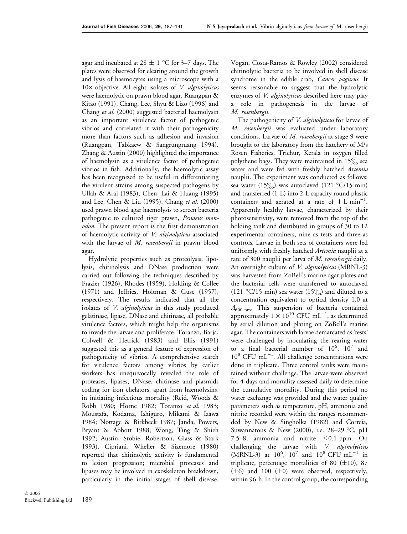agar and incubated at 28  $\pm$  1 °C for 3–7 days. The plates were observed for clearing around the growth and lysis of haemocytes using a microscope with a  $10\times$  objective. All eight isolates of *V. alginolyticus* were haemolytic on prawn blood agar. Ruangpan & Kitao (1991), Chang, Lee, Shyu & Liao (1996) and Chang et al. (2000) suggested bacterial haemolysin as an important virulence factor of pathogenic vibrios and correlated it with their pathogenicity more than factors such as adhesion and invasion (Ruangpan, Tabkaew & Sangrungruang 1994). Zhang & Austin (2000) highlighted the importance of haemolysin as a virulence factor of pathogenic vibrios in fish. Additionally, the haemolytic assay has been recognized to be useful in differentiating the virulent strains among suspected pathogens by Ullah & Arai (1983), Chen, Lai & Huang (1995) and Lee, Chen & Liu (1995). Chang et al.  $(2000)$ used prawn blood agar haemolysis to screen bacteria pathogenic to cultured tiger prawn, Penaeus monodon. The present report is the first demonstration of haemolytic activity of V. alginolyticus associated with the larvae of M. rosenbergii in prawn blood agar.

Hydrolytic properties such as proteolysis, lipolysis, chitinolysis and DNase production were carried out following the techniques described by Frazier (1926), Rhodes (1959), Holding & Collee (1971) and Jeffries, Holtman & Guse (1957), respectively. The results indicated that all the isolates of *V. alginolyticus* in this study produced gelatinase, lipase, DNase and chitinase, all probable virulence factors, which might help the organisms to invade the larvae and proliferate. Toranzo, Barja, Colwell & Hetrick (1983) and Ellis (1991) suggested this as a general feature of expression of pathogenicity of vibrios. A comprehensive search for virulence factors among vibrios by earlier workers has unequivocally revealed the role of proteases, lipases, DNase, chitinase and plasmids coding for iron chelators, apart from haemolysins, in initiating infectious mortality (Reid, Woods & Robb 1980; Horne 1982; Toranzo et al. 1983; Moustafa, Kodama, Ishiguro, Mikami & Izawa 1984; Nottage & Birkbeck 1987; Janda, Powers, Bryant & Abbott 1988; Wong, Ting & Shieh 1992; Austin, Stobie, Robertson, Glass & Stark 1993). Cipriani, Wheller & Sizemore (1980) reported that chitinolytic activity is fundamental to lesion progression; microbial proteases and lipases may be involved in exoskeleton breakdown, particularly in the initial stages of shell disease.

Vogan, Costa-Ramos & Rowley (2002) considered chitinolytic bacteria to be involved in shell disease syndrome in the edible crab, Cancer pagurus. It seems reasonable to suggest that the hydrolytic enzymes of *V. alginolyticus* described here may play a role in pathogenesis in the larvae of M. rosenbergii.

The pathogenicity of *V. alginolyticus* for larvae of M. rosenbergii was evaluated under laboratory conditions. Larvae of *M. rosenbergii* at stage 9 were brought to the laboratory from the hatchery of M/s Rosen Fisheries, Trichur, Kerala in oxygen filled polythene bags. They were maintained in  $15\%$  sea water and were fed with freshly hatched Artemia nauplii. The experiment was conducted as follows: sea water (15%) was autoclaved (121 °C/15 min) and transferred (1 L) into 2-L capacity round plastic containers and aerated at a rate of  $1 \text{ L min}^{-1}$ . Apparently healthy larvae, characterized by their photosensitivity, were removed from the top of the holding tank and distributed in groups of 30 to 12 experimental containers, nine as tests and three as controls. Larvae in both sets of containers were fed uniformly with freshly hatched Artemia nauplii at a rate of 300 nauplii per larva of *M. rosenbergii* daily. An overnight culture of *V. alginolyticus* (MRNL-3) was harvested from ZoBell's marine agar plates and the bacterial cells were transferred to autoclaved (121 °C/15 min) sea water (15 $\frac{\%}{\%}$ ) and diluted to a concentration equivalent to optical density 1.0 at  $A_{600 \text{ nm}}$ . This suspension of bacteria contained approximately  $1 \times 10^{10}$  CFU mL<sup>-1</sup>, as determined by serial dilution and plating on ZoBell's marine agar. The containers with larvae demarcated as 'tests' were challenged by inoculating the rearing water to a final bacterial number of  $10^6$ ,  $10^7$  and  $10^8$  CFU mL<sup>-1</sup>. All challenge concentrations were done in triplicate. Three control tanks were maintained without challenge. The larvae were observed for 4 days and mortality assessed daily to determine the cumulative mortality. During this period no water exchange was provided and the water quality parameters such as temperature, pH, ammonia and nitrite recorded were within the ranges recommended by New & Singholka (1982) and Correia, Suwannatous & New (2000), i.e.  $28-29$  °C, pH 7.5–8, ammonia and nitrite  $\leq 0.1$  ppm. On challenging the larvae with V. alginolyticus  $(MRNL-3)$  at  $10^6$ ,  $10^7$  and  $10^8$  CFU mL<sup>-1</sup> in triplicate, percentage mortalities of 80  $(\pm 10)$ , 87  $(\pm 6)$  and 100  $(\pm 0)$  were observed, respectively, within 96 h. In the control group, the corresponding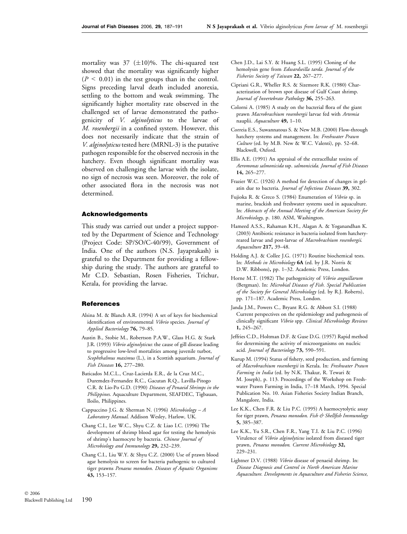mortality was 37  $(\pm 10)\%$ . The chi-squared test showed that the mortality was significantly higher  $(P < 0.01)$  in the test groups than in the control. Signs preceding larval death included anorexia, settling to the bottom and weak swimming. The significantly higher mortality rate observed in the challenged set of larvae demonstrated the pathogenicity of *V. alginolyticus* to the larvae of M. rosenbergii in a confined system. However, this does not necessarily indicate that the strain of V. alginolyticus tested here (MRNL-3) is the putative pathogen responsible for the observed necrosis in the hatchery. Even though significant mortality was observed on challenging the larvae with the isolate, no sign of necrosis was seen. Moreover, the role of other associated flora in the necrosis was not determined.

#### Acknowledgements

This study was carried out under a project supported by the Department of Science and Technology (Project Code: SP/SO/C-40/99), Government of India. One of the authors (N.S. Jayaprakash) is grateful to the Department for providing a fellowship during the study. The authors are grateful to Mr C.D. Sebastian, Rosen Fisheries, Trichur, Kerala, for providing the larvae.

#### References

- Alsina M. & Blanch A.R. (1994) A set of keys for biochemical identification of environmental Vibrio species. Journal of Applied Bacteriology 76, 79–85.
- Austin B., Stobie M., Robertson P.A.W., Glass H.G. & Stark J.R. (1993) Vibrio alginolyticus: the cause of gill disease leading to progressive low-level mortalities among juvenile turbot, Scophthalmus maximus (L.), in a Scottish aquarium. Journal of Fish Diseases 16, 277–280.
- Baticados M.C.L., Cruz-Lacierda E.R., de la Cruz M.C., Duremdez-Fernandez R.C., Gacutan R.Q., Lavilla-Pitogo C.R. & Lio-Po G.D. (1990) Diseases of Penaeid Shrimps in the Philippines. Aquaculture Department, SEAFDEC, Tigbauan, Iloilo, Philippines.
- Cappuccino J.G. & Sherman N. (1996) Microbiology A Laboratory Manual. Addison Wesley, Harlow, UK.
- Chang C.I., Lee W.C., Shyu C.Z. & Liao I.C. (1996) The development of shrimp blood agar for testing the hemolysis of shrimp's haemocyte by bacteria. Chinese Journal of Microbiology and Immunology 29, 232-239.
- Chang C.I., Liu W.Y. & Shyu C.Z. (2000) Use of prawn blood agar hemolysis to screen for bacteria pathogenic to cultured tiger prawns Penaeus monodon. Diseases of Aquatic Organisms 43, 153–157.
- Chen J.D., Lai S.Y. & Huang S.L. (1995) Cloning of the hemolysin gene from Edwardseilla tarda. Journal of the Fisheries Society of Taiwan 22, 267–277.
- Cipriani G.R., Wheller R.S. & Sizemore R.K. (1980) Characterization of brown spot disease of Gulf Coast shrimp. Journal of Invertebrate Pathology 36, 255-263.
- Colorni A. (1985) A study on the bacterial flora of the giant prawn Macrobrachium rosenbergii larvae fed with Artemia nauplii. Aquaculture 49, 1-10.
- Correia E.S., Suwannatous S. & New M.B. (2000) Flow-through hatchery systems and management. In: Freshwater Prawn Culture (ed. by M.B. New & W.C. Valenti), pp. 52–68. Blackwell, Oxford.
- Ellis A.E. (1991) An appraisal of the extracellular toxins of Aeromonas salmonicida ssp. salmonicida. Journal of Fish Diseases 14, 265–277.
- Frazier W.C. (1926) A method for detection of changes in gelatin due to bacteria. Journal of Infectious Diseases 39, 302.
- Fujioka R. & Greco S. (1984) Enumeration of Vibrio sp. in marine, brackish and freshwater systems used in aquaculture. In: Abstracts of the Annual Meeting of the American Society for Microbiology, p. 180. ASM, Washington.
- Hameed A.S.S., Rahaman K.H., Alagan A. & Yoganandhan K. (2003) Antibiotic resistance in bacteria isolated from hatcheryreared larvae and post-larvae of Macrobrachium rosenbergii. Aquaculture 217, 39–48.
- Holding A.J. & Collee J.G. (1971) Routine biochemical tests. In: Methods in Microbiology 6A (ed. by J.R. Norris & D.W. Ribbons), pp. 1–32. Academic Press, London.
- Horne M.T. (1982) The pathogenicity of Vibrio anguillarum (Bergman). In: Microbial Diseases of Fish. Special Publication of the Society for General Microbiology (ed. by R.J. Roberts), pp. 171–187. Academic Press, London.
- Janda J.M., Powers C., Bryant R.G. & Abbott S.I. (1988) Current perspectives on the epidemiology and pathogenesis of clinically significant Vibrio spp. Clinical Microbiology Reviews 1, 245–267.
- Jeffries C.D., Holtman D.F. & Guse D.G. (1957) Rapid method for determining the activity of microorganisms on nucleic acid. Journal of Bacteriology 73, 590-591.
- Kurup M. (1994) Status of fishery, seed production, and farming of Macrobrachium rosenbergii in Kerala. In: Freshwater Prawn Farming in India (ed. by N.K. Thakur, R. Tewari & M. Joseph), p. 113. Proceedings of the Workshop on Freshwater Prawn Farming in India, 17–18 March, 1994. Special Publication No. 10. Asian Fisheries Society Indian Branch, Mangalore, India.
- Lee K.K., Chen F.R. & Liu P.C. (1995) A haemocytolytic assay for tiger prawn, Penaeus monodon. Fish & Shellfish Immunology 5, 385–387.
- Lee K.K., Yu S.R., Chen F.R., Yang T.I. & Liu P.C. (1996) Virulence of Vibrio alginolyticus isolated from diseased tiger prawn, Penaeus monodon. Current Microbiology 32, 229–231.
- Lightner D.V. (1988) Vibrio disease of penaeid shrimp. In: Disease Diagnosis and Control in North American Marine Aquaculture. Developments in Aquaculture and Fisheries Science,